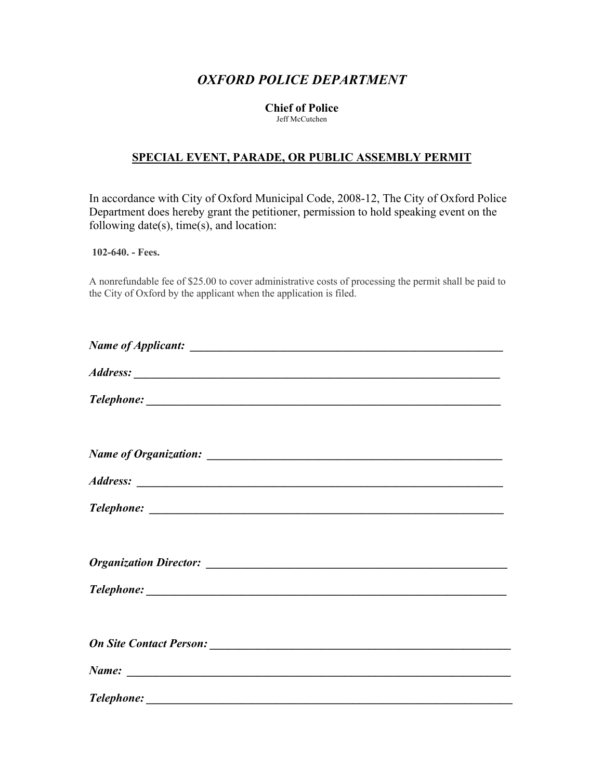## *OXFORD POLICE DEPARTMENT*

## **Chief of Police** Jeff McCutchen

## **SPECIAL EVENT, PARADE, OR PUBLIC ASSEMBLY PERMIT**

In accordance with City of Oxford Municipal Code, 2008-12, The City of Oxford Police Department does hereby grant the petitioner, permission to hold speaking event on the following date(s), time(s), and location:

**102-640. - Fees.**

A nonrefundable fee of \$25.00 to cover administrative costs of processing the permit shall be paid to the City of Oxford by the applicant when the application is filed.

| $Name:$ $\qquad \qquad$ |  |
|-------------------------|--|
|                         |  |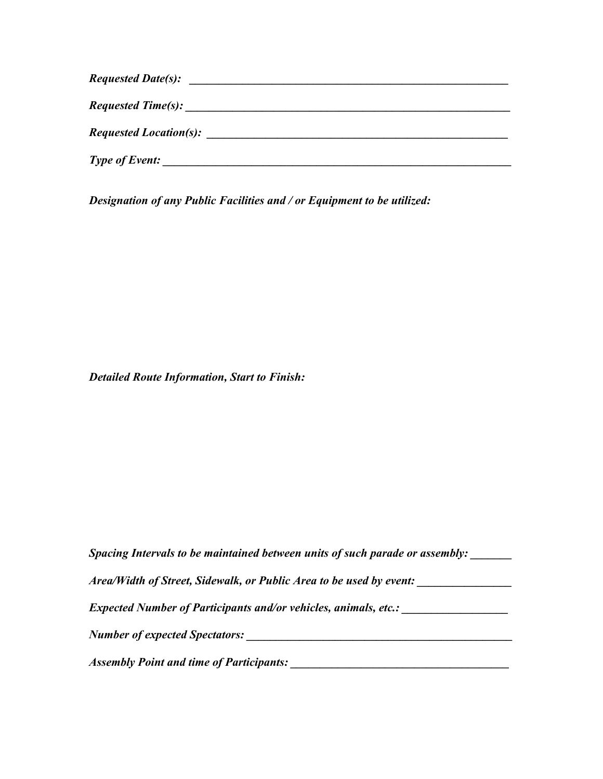| <b>Requested Date(s):</b>     |  |  |
|-------------------------------|--|--|
| Requested Time(s):            |  |  |
| <b>Requested Location(s):</b> |  |  |
| <b>Type of Event:</b>         |  |  |

*Designation of any Public Facilities and / or Equipment to be utilized:*

*Detailed Route Information, Start to Finish:*

| Spacing Intervals to be maintained between units of such parade or assembly: |  |
|------------------------------------------------------------------------------|--|
| Area/Width of Street, Sidewalk, or Public Area to be used by event:          |  |
| <i>Expected Number of Participants and/or vehicles, animals, etc.:</i>       |  |
| <b>Number of expected Spectators:</b>                                        |  |
| <b>Assembly Point and time of Participants:</b>                              |  |